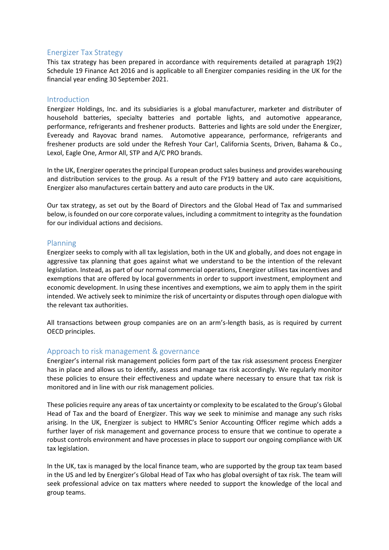## Energizer Tax Strategy

This tax strategy has been prepared in accordance with requirements detailed at paragraph 19(2) Schedule 19 Finance Act 2016 and is applicable to all Energizer companies residing in the UK for the financial year ending 30 September 2021.

## Introduction

Energizer Holdings, Inc. and its subsidiaries is a global manufacturer, marketer and distributer of household batteries, specialty batteries and portable lights, and automotive appearance, performance, refrigerants and freshener products. Batteries and lights are sold under the Energizer, Eveready and Rayovac brand names. Automotive appearance, performance, refrigerants and freshener products are sold under the Refresh Your Car!, California Scents, Driven, Bahama & Co., Lexol, Eagle One, Armor All, STP and A/C PRO brands.

In the UK, Energizer operates the principal European product sales business and provides warehousing and distribution services to the group. As a result of the FY19 battery and auto care acquisitions, Energizer also manufactures certain battery and auto care products in the UK.

Our tax strategy, as set out by the Board of Directors and the Global Head of Tax and summarised below, is founded on our core corporate values, including a commitment to integrity as the foundation for our individual actions and decisions.

#### Planning

Energizer seeks to comply with all tax legislation, both in the UK and globally, and does not engage in aggressive tax planning that goes against what we understand to be the intention of the relevant legislation. Instead, as part of our normal commercial operations, Energizer utilises tax incentives and exemptions that are offered by local governments in order to support investment, employment and economic development. In using these incentives and exemptions, we aim to apply them in the spirit intended. We actively seek to minimize the risk of uncertainty or disputes through open dialogue with the relevant tax authorities.

All transactions between group companies are on an arm's-length basis, as is required by current OECD principles.

## Approach to risk management & governance

Energizer's internal risk management policies form part of the tax risk assessment process Energizer has in place and allows us to identify, assess and manage tax risk accordingly. We regularly monitor these policies to ensure their effectiveness and update where necessary to ensure that tax risk is monitored and in line with our risk management policies.

These policies require any areas of tax uncertainty or complexity to be escalated to the Group's Global Head of Tax and the board of Energizer. This way we seek to minimise and manage any such risks arising. In the UK, Energizer is subject to HMRC's Senior Accounting Officer regime which adds a further layer of risk management and governance process to ensure that we continue to operate a robust controls environment and have processes in place to support our ongoing compliance with UK tax legislation.

In the UK, tax is managed by the local finance team, who are supported by the group tax team based in the US and led by Energizer's Global Head of Tax who has global oversight of tax risk. The team will seek professional advice on tax matters where needed to support the knowledge of the local and group teams.